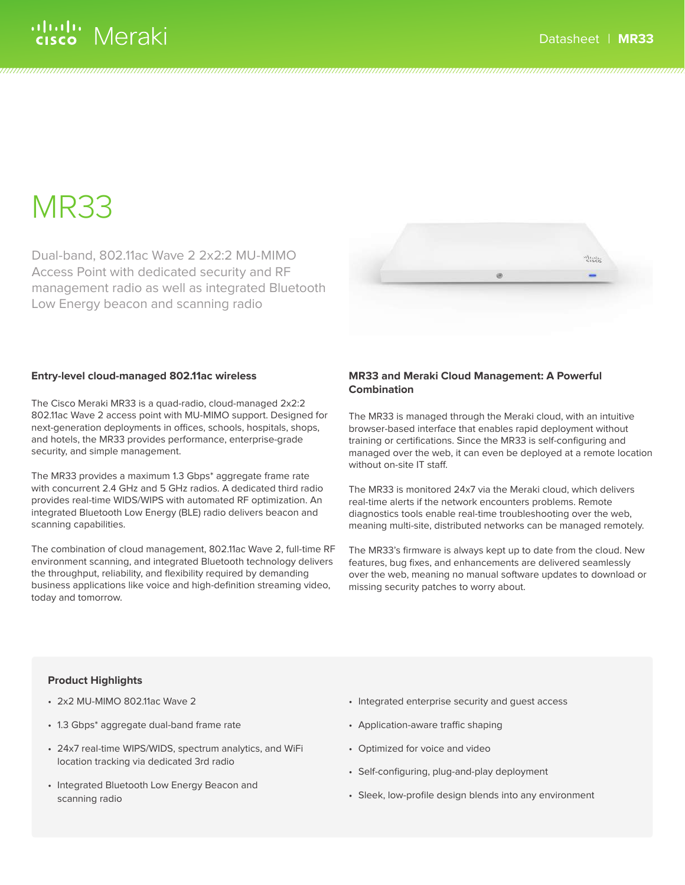## alulu Meraki

# MR33

Dual-band, 802.11ac Wave 2 2x2:2 MU-MIMO Access Point with dedicated security and RF management radio as well as integrated Bluetooth Low Energy beacon and scanning radio



### **Entry-level cloud-managed 802.11ac wireless**

The Cisco Meraki MR33 is a quad-radio, cloud-managed 2x2:2 802.11ac Wave 2 access point with MU-MIMO support. Designed for next-generation deployments in offices, schools, hospitals, shops, and hotels, the MR33 provides performance, enterprise-grade security, and simple management.

The MR33 provides a maximum 1.3 Gbps\* aggregate frame rate with concurrent 2.4 GHz and 5 GHz radios. A dedicated third radio provides real-time WIDS/WIPS with automated RF optimization. An integrated Bluetooth Low Energy (BLE) radio delivers beacon and scanning capabilities.

The combination of cloud management, 802.11ac Wave 2, full-time RF environment scanning, and integrated Bluetooth technology delivers the throughput, reliability, and flexibility required by demanding business applications like voice and high-definition streaming video, today and tomorrow.

### **MR33 and Meraki Cloud Management: A Powerful Combination**

The MR33 is managed through the Meraki cloud, with an intuitive browser-based interface that enables rapid deployment without training or certifications. Since the MR33 is self-configuring and managed over the web, it can even be deployed at a remote location without on-site IT staff.

The MR33 is monitored 24x7 via the Meraki cloud, which delivers real-time alerts if the network encounters problems. Remote diagnostics tools enable real-time troubleshooting over the web, meaning multi-site, distributed networks can be managed remotely.

The MR33's firmware is always kept up to date from the cloud. New features, bug fixes, and enhancements are delivered seamlessly over the web, meaning no manual software updates to download or missing security patches to worry about.

### **Product Highlights**

- 2x2 MU-MIMO 802.11ac Wave 2
- 1.3 Gbps\* aggregate dual-band frame rate
- 24x7 real-time WIPS/WIDS, spectrum analytics, and WiFi location tracking via dedicated 3rd radio
- Integrated Bluetooth Low Energy Beacon and scanning radio
- Integrated enterprise security and guest access
- Application-aware traffic shaping
- Optimized for voice and video
- Self-configuring, plug-and-play deployment
- Sleek, low-profile design blends into any environment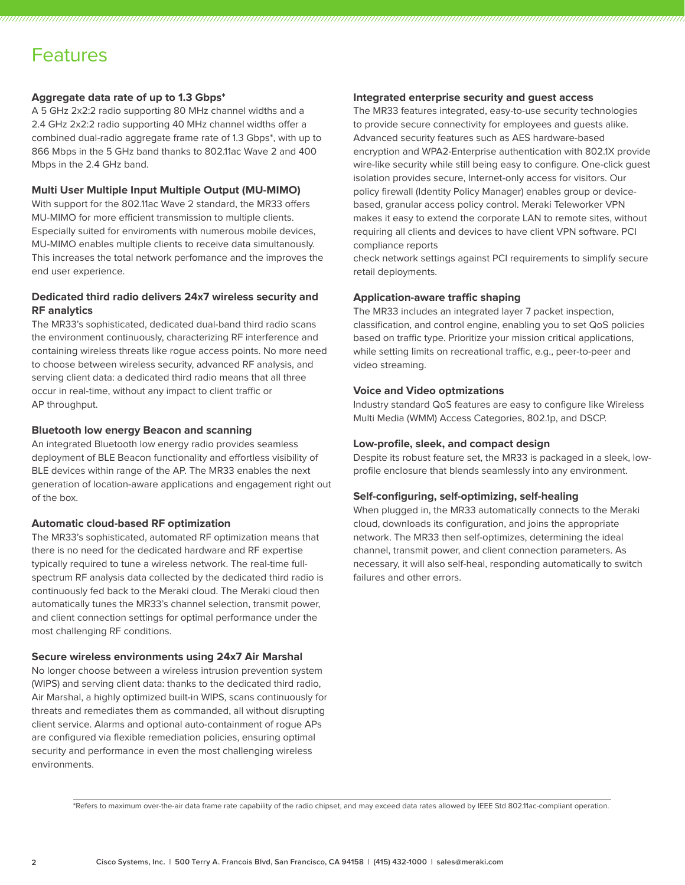### Features

### **Aggregate data rate of up to 1.3 Gbps\***

A 5 GHz 2x2:2 radio supporting 80 MHz channel widths and a 2.4 GHz 2x2:2 radio supporting 40 MHz channel widths offer a combined dual-radio aggregate frame rate of 1.3 Gbps\*, with up to 866 Mbps in the 5 GHz band thanks to 802.11ac Wave 2 and 400 Mbps in the 2.4 GHz band.

### **Multi User Multiple Input Multiple Output (MU-MIMO)**

With support for the 802.11ac Wave 2 standard, the MR33 offers MU-MIMO for more efficient transmission to multiple clients. Especially suited for enviroments with numerous mobile devices, MU-MIMO enables multiple clients to receive data simultanously. This increases the total network perfomance and the improves the end user experience.

### **Dedicated third radio delivers 24x7 wireless security and RF analytics**

The MR33's sophisticated, dedicated dual-band third radio scans the environment continuously, characterizing RF interference and containing wireless threats like rogue access points. No more need to choose between wireless security, advanced RF analysis, and serving client data: a dedicated third radio means that all three occur in real-time, without any impact to client traffic or AP throughput.

### **Bluetooth low energy Beacon and scanning**

An integrated Bluetooth low energy radio provides seamless deployment of BLE Beacon functionality and effortless visibility of BLE devices within range of the AP. The MR33 enables the next generation of location-aware applications and engagement right out of the box.

### **Automatic cloud-based RF optimization**

The MR33's sophisticated, automated RF optimization means that there is no need for the dedicated hardware and RF expertise typically required to tune a wireless network. The real-time fullspectrum RF analysis data collected by the dedicated third radio is continuously fed back to the Meraki cloud. The Meraki cloud then automatically tunes the MR33's channel selection, transmit power, and client connection settings for optimal performance under the most challenging RF conditions.

### **Secure wireless environments using 24x7 Air Marshal**

No longer choose between a wireless intrusion prevention system (WIPS) and serving client data: thanks to the dedicated third radio, Air Marshal, a highly optimized built-in WIPS, scans continuously for threats and remediates them as commanded, all without disrupting client service. Alarms and optional auto-containment of rogue APs are configured via flexible remediation policies, ensuring optimal security and performance in even the most challenging wireless environments.

### **Integrated enterprise security and guest access**

The MR33 features integrated, easy-to-use security technologies to provide secure connectivity for employees and guests alike. Advanced security features such as AES hardware-based encryption and WPA2-Enterprise authentication with 802.1X provide wire-like security while still being easy to configure. One-click guest isolation provides secure, Internet-only access for visitors. Our policy firewall (Identity Policy Manager) enables group or devicebased, granular access policy control. Meraki Teleworker VPN makes it easy to extend the corporate LAN to remote sites, without requiring all clients and devices to have client VPN software. PCI compliance reports

check network settings against PCI requirements to simplify secure retail deployments.

### **Application-aware traffic shaping**

The MR33 includes an integrated layer 7 packet inspection, classification, and control engine, enabling you to set QoS policies based on traffic type. Prioritize your mission critical applications, while setting limits on recreational traffic, e.g., peer-to-peer and video streaming.

### **Voice and Video optmizations**

Industry standard QoS features are easy to configure like Wireless Multi Media (WMM) Access Categories, 802.1p, and DSCP.

### **Low-profile, sleek, and compact design**

Despite its robust feature set, the MR33 is packaged in a sleek, lowprofile enclosure that blends seamlessly into any environment.

### **Self-configuring, self-optimizing, self-healing**

When plugged in, the MR33 automatically connects to the Meraki cloud, downloads its configuration, and joins the appropriate network. The MR33 then self-optimizes, determining the ideal channel, transmit power, and client connection parameters. As necessary, it will also self-heal, responding automatically to switch failures and other errors.

\*Refers to maximum over-the-air data frame rate capability of the radio chipset, and may exceed data rates allowed by IEEE Std 802.11ac-compliant operation.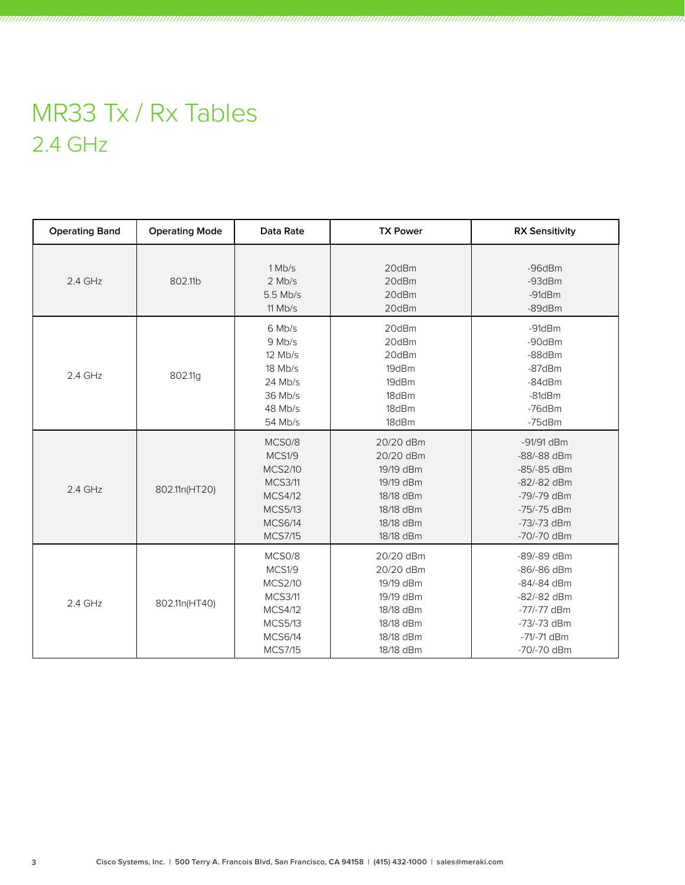## MR33 Tx / Rx Tables 2.4 GHz

| <b>Operating Band</b> | <b>Operating Mode</b> | <b>Data Rate</b>                                                                                                             | <b>TX Power</b>                                                                                      | <b>RX Sensitivity</b>                                                                                                  |
|-----------------------|-----------------------|------------------------------------------------------------------------------------------------------------------------------|------------------------------------------------------------------------------------------------------|------------------------------------------------------------------------------------------------------------------------|
| 2.4 GHz               | 802.11b               | 1 Mb/s<br>$2$ Mb/s<br>5.5 Mb/s<br>$11$ Mb/s                                                                                  | 20dBm<br>20dBm<br>20dBm<br>20dBm                                                                     | $-96dBr$<br>$-93$ d $Bm$<br>$-91$ d $Bm$<br>-89dBm                                                                     |
| 2.4 GHz               | 802.11g               | 6 Mb/s<br>9 Mb/s<br>$12$ Mb/s<br>18 Mb/s<br>24 Mb/s<br>36 Mb/s<br>48 Mb/s<br>54 Mb/s                                         | 20dBm<br>20dBm<br>20dBm<br>19dBm<br>19dBm<br>18dBm<br>18dBm<br>18dBm                                 | $-91d$ Bm<br>-90dBm<br>$-88dBr$<br>$-87$ d $Bm$<br>$-84dBm$<br>$-81$ d $Bm$<br>-76dBm<br>$-75$ d $Bm$                  |
| 2.4 GHz               | 802.11n(HT20)         | MCS0/8<br>MCS1/9<br><b>MCS2/10</b><br><b>MCS3/11</b><br><b>MCS4/12</b><br><b>MCS5/13</b><br><b>MCS6/14</b><br><b>MCS7/15</b> | 20/20 dBm<br>20/20 dBm<br>19/19 dBm<br>19/19 dBm<br>18/18 dBm<br>18/18 dBm<br>18/18 dBm<br>18/18 dBm | -91/91 dBm<br>-88/-88 dBm<br>-85/-85 dBm<br>-82/-82 dBm<br>-79/-79 dBm<br>-75/-75 dBm<br>-73/-73 dBm<br>-70/-70 dBm    |
| 2.4 GHz               | 802.11n(HT40)         | MCS0/8<br>MCS1/9<br><b>MCS2/10</b><br><b>MCS3/11</b><br><b>MCS4/12</b><br><b>MCS5/13</b><br><b>MCS6/14</b><br><b>MCS7/15</b> | 20/20 dBm<br>20/20 dBm<br>19/19 dBm<br>19/19 dBm<br>18/18 dBm<br>18/18 dBm<br>18/18 dBm<br>18/18 dBm | -89/-89 dBm<br>-86/-86 dBm<br>-84/-84 dBm<br>-82/-82 dBm<br>$-77/-77$ dBm<br>-73/-73 dBm<br>-71/-71 dBm<br>-70/-70 dBm |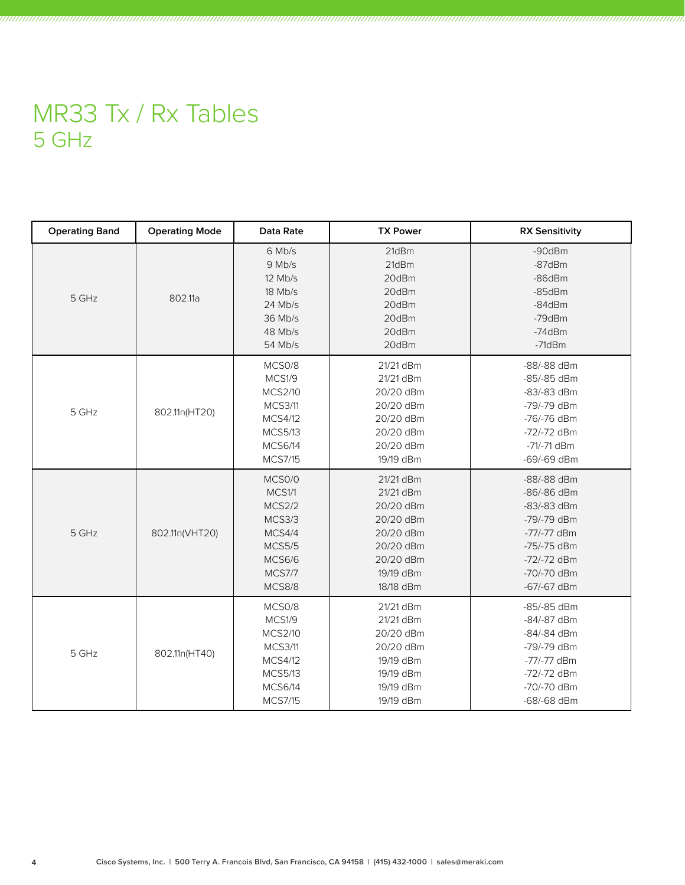## MR33 Tx / Rx Tables 5 GHz

| <b>Operating Band</b> | <b>Operating Mode</b> | Data Rate                                                                                                                    | <b>TX Power</b>                                                                                                   | <b>RX Sensitivity</b>                                                                                                                     |
|-----------------------|-----------------------|------------------------------------------------------------------------------------------------------------------------------|-------------------------------------------------------------------------------------------------------------------|-------------------------------------------------------------------------------------------------------------------------------------------|
| 5 GHz                 | 802.11a               | 6 Mb/s<br>9 Mb/s<br>$12$ Mb/s<br>18 Mb/s<br>$24$ Mb/s<br>36 Mb/s<br>48 Mb/s<br>54 Mb/s                                       | 21dBm<br>21dBm<br>20dBm<br>20dBm<br>20dBm<br>20dBm<br>20dBm<br>20dBm                                              | -90dBm<br>$-87$ d $Bm$<br>$-86$ d $Bm$<br>$-85$ d $Bm$<br>$-84dBm$<br>-79dBm<br>$-74dBm$<br>$-71dBm$                                      |
| 5 GHz                 | 802.11n(HT20)         | MCS0/8<br>MCS1/9<br><b>MCS2/10</b><br><b>MCS3/11</b><br><b>MCS4/12</b><br><b>MCS5/13</b><br><b>MCS6/14</b><br><b>MCS7/15</b> | 21/21 dBm<br>21/21 dBm<br>20/20 dBm<br>20/20 dBm<br>20/20 dBm<br>20/20 dBm<br>20/20 dBm<br>19/19 dBm              | -88/-88 dBm<br>-85/-85 dBm<br>-83/-83 dBm<br>-79/-79 dBm<br>-76/-76 dBm<br>-72/-72 dBm<br>-71/-71 dBm<br>-69/-69 dBm                      |
| 5 GHz                 | 802.11n(VHT20)        | MCS0/0<br>MCS1/1<br>MCS2/2<br>MCS3/3<br>MCS4/4<br><b>MCS5/5</b><br><b>MCS6/6</b><br><b>MCS7/7</b><br>MCS8/8                  | 21/21 dBm<br>21/21 dBm<br>20/20 dBm<br>20/20 dBm<br>20/20 dBm<br>20/20 dBm<br>20/20 dBm<br>19/19 dBm<br>18/18 dBm | -88/-88 dBm<br>-86/-86 dBm<br>-83/-83 dBm<br>-79/-79 dBm<br>-77/-77 dBm<br>$-75/-75$ dBm<br>-72/-72 dBm<br>$-70/-70$ dBm<br>$-67/-67$ dBm |
| 5 GHz                 | 802.11n(HT40)         | MCS0/8<br>MCS1/9<br><b>MCS2/10</b><br><b>MCS3/11</b><br><b>MCS4/12</b><br><b>MCS5/13</b><br><b>MCS6/14</b><br><b>MCS7/15</b> | 21/21 dBm<br>21/21 dBm<br>20/20 dBm<br>20/20 dBm<br>19/19 dBm<br>19/19 dBm<br>19/19 dBm<br>19/19 dBm              | -85/-85 dBm<br>-84/-87 dBm<br>-84/-84 dBm<br>-79/-79 dBm<br>-77/-77 dBm<br>-72/-72 dBm<br>-70/-70 dBm<br>-68/-68 dBm                      |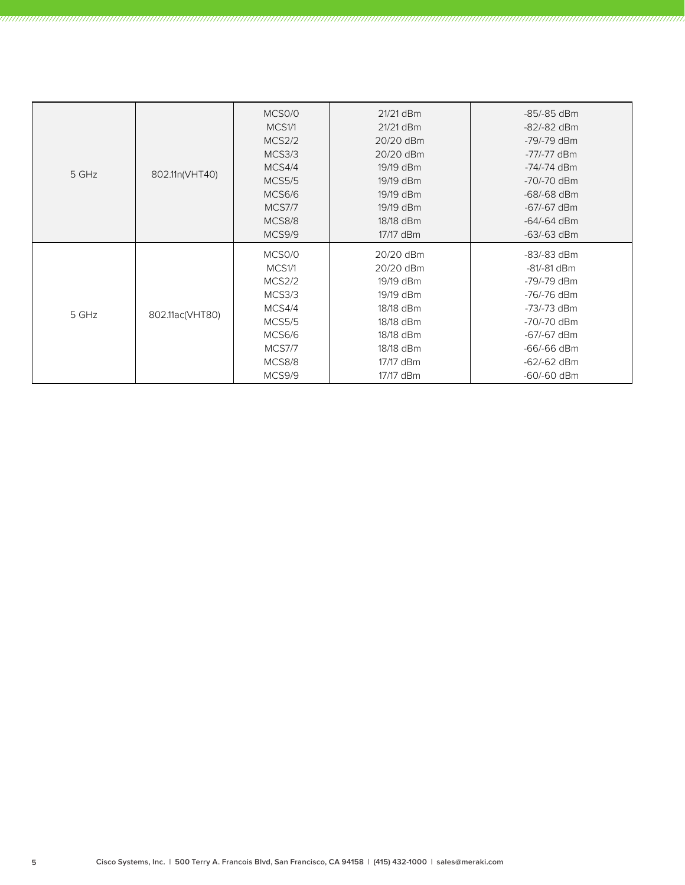| 5 GHz | 802.11n(VHT40)  | MCS0/0<br>MCS1/1<br>MCS2/2<br>MCS3/3<br>MCS4/4<br><b>MCS5/5</b><br>MCS6/6<br><b>MCS7/7</b><br>MCS8/8           | 21/21 dBm<br>21/21 dBm<br>20/20 dBm<br>20/20 dBm<br>19/19 dBm<br>19/19 dBm<br>19/19 dBm<br>19/19 dBm<br>18/18 dBm              | -85/-85 dBm<br>$-82/-82$ dBm<br>-79/-79 dBm<br>$-77/-77$ dBm<br>-74/-74 dBm<br>-70/-70 dBm<br>-68/-68 dBm<br>$-67/-67$ dBm<br>$-64/-64$ dBm            |
|-------|-----------------|----------------------------------------------------------------------------------------------------------------|--------------------------------------------------------------------------------------------------------------------------------|--------------------------------------------------------------------------------------------------------------------------------------------------------|
|       |                 | MCS9/9                                                                                                         | 17/17 dBm                                                                                                                      | $-63/-63$ dBm                                                                                                                                          |
| 5 GHz | 802.11ac(VHT80) | MCS0/0<br>MCS1/1<br>MCS2/2<br>MCS3/3<br>MCS4/4<br><b>MCS5/5</b><br>MCS6/6<br><b>MCS7/7</b><br>MCS8/8<br>MCS9/9 | 20/20 dBm<br>20/20 dBm<br>19/19 dBm<br>19/19 dBm<br>18/18 dBm<br>18/18 dBm<br>18/18 dBm<br>18/18 dBm<br>17/17 dBm<br>17/17 dBm | $-83/-83$ dBm<br>-81/-81 dBm<br>-79/-79 dBm<br>-76/-76 dBm<br>-73/-73 dBm<br>-70/-70 dBm<br>-67/-67 dBm<br>-66/-66 dBm<br>$-62/-62$ dBm<br>-60/-60 dBm |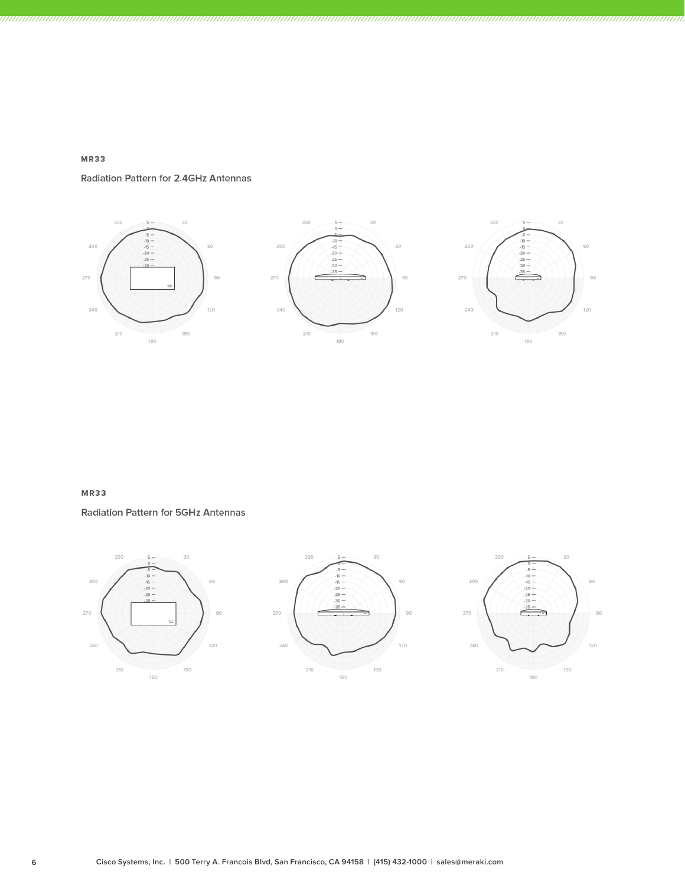

Radiation Pattern for 2.4GHz Antennas



### MR33

**Radiation Pattern for 5GHz Antennas**